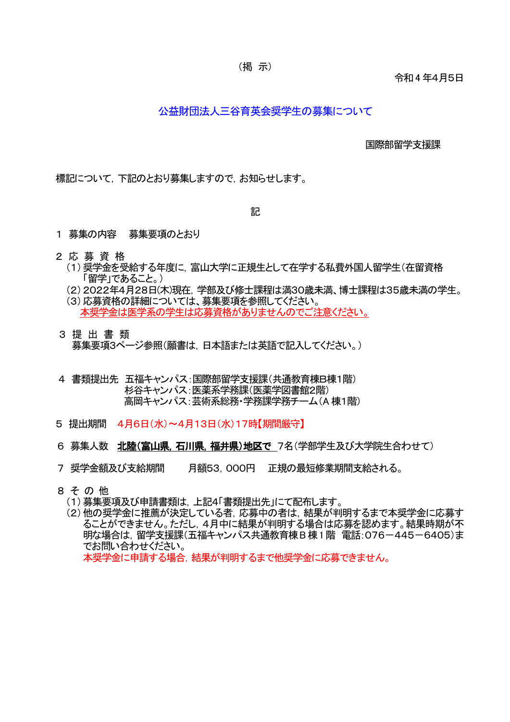令和4 年4月5日

## 公益財団法人三谷育英会奨学生の募集について

国際部留学支援課

標記について,下記のとおり募集しますので,お知らせします。

記

- 1 募集の内容 募集要項のとおり
- 2 応募資 格
	- (1)奨学金を受給する年度に,富山大学に正規生として在学する私費外国人留学生(在留資格 「留学」であること。)
	- (2)2022年4月28日(木)現在,学部及び修士課程は満30歳未満、博士課程は35歳未満の学生。

(3)応募資格の詳細については、募集要項を参照してください。 本奨学金は医学系の学生は応募資格がありませんのでご注意ください。

- 3 提 出 書 類 募集要項3ページ参照(願書は,日本語または英語で記入してください。)
- 4 書類提出先 五福キャンパス:国際部留学支援課(共通教育棟B棟1階) 杉谷キャンパス:医薬系学務課(医薬学図書館2階) 高岡キャンパス:芸術系総務・学務課学務チーム(A 棟1階)
- 5 提出期間 4月6日(水)~4月13日(水)17時【期間厳守】
- 6 募集人数 北陸(富山県,石川県,福井県)地区で 7名(学部学生及び大学院生合わせて)
- 7 奨学金額及び支給期間 月額53,000円 正規の最短修業期間支給される。
- 8 そ の 他
	- (1)募集要項及び申請書類は,上記4「書類提出先」にて配布します。
	- (2)他の奨学金に推薦が決定している者,応募中の者は,結果が判明するまで本奨学金に応募す ることができません。ただし,4月中に結果が判明する場合は応募を認めます。結果時期が不 明な場合は, 留学支援課(五福キャンパス共通教育棟B棟1階 電話:076-445-6405)ま でお問い合わせください。 本奨学金に申請する場合,結果が判明するまで他奨学金に応募できません。